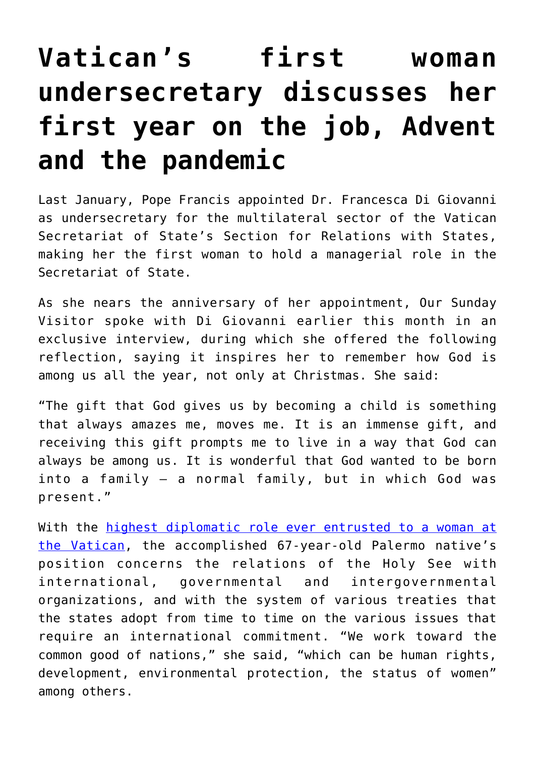## **[Vatican's first woman](https://www.osvnews.com/2020/12/21/vaticans-first-woman-undersecretary-discusses-her-first-year-on-the-job-advent-and-the-pandemic/) [undersecretary discusses her](https://www.osvnews.com/2020/12/21/vaticans-first-woman-undersecretary-discusses-her-first-year-on-the-job-advent-and-the-pandemic/) [first year on the job, Advent](https://www.osvnews.com/2020/12/21/vaticans-first-woman-undersecretary-discusses-her-first-year-on-the-job-advent-and-the-pandemic/) [and the pandemic](https://www.osvnews.com/2020/12/21/vaticans-first-woman-undersecretary-discusses-her-first-year-on-the-job-advent-and-the-pandemic/)**

Last January, Pope Francis appointed Dr. Francesca Di Giovanni as undersecretary for the multilateral sector of the Vatican Secretariat of State's Section for Relations with States, making her the first woman to hold a managerial role in the Secretariat of State.

As she nears the anniversary of her appointment, Our Sunday Visitor spoke with Di Giovanni earlier this month in an exclusive interview, during which she offered the following reflection, saying it inspires her to remember how God is among us all the year, not only at Christmas. She said:

"The gift that God gives us by becoming a child is something that always amazes me, moves me. It is an immense gift, and receiving this gift prompts me to live in a way that God can always be among us. It is wonderful that God wanted to be born into a family — a normal family, but in which God was present."

With the [highest diplomatic role ever entrusted to a woman at](https://osvnews.com/2020/01/16/pope-appoints-first-woman-to-vatican-foreign-ministry-post/) [the Vatican](https://osvnews.com/2020/01/16/pope-appoints-first-woman-to-vatican-foreign-ministry-post/), the accomplished 67-year-old Palermo native's position concerns the relations of the Holy See with international, governmental and intergovernmental organizations, and with the system of various treaties that the states adopt from time to time on the various issues that require an international commitment. "We work toward the common good of nations," she said, "which can be human rights, development, environmental protection, the status of women" among others.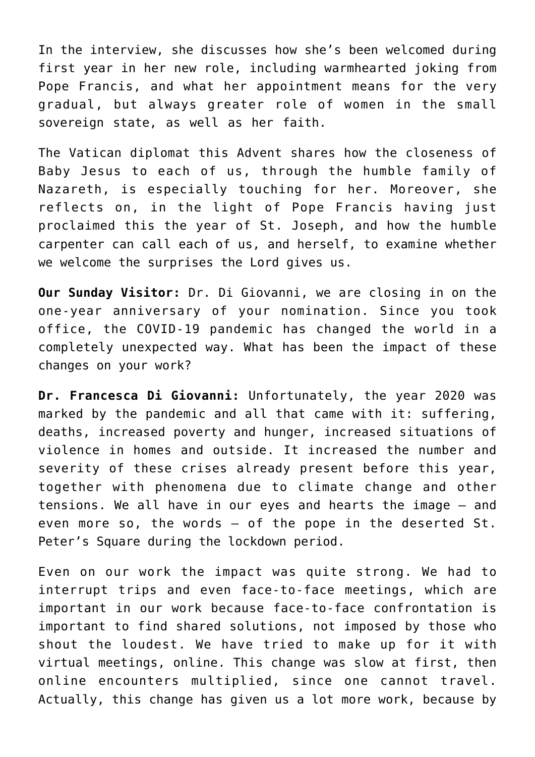In the interview, she discusses how she's been welcomed during first year in her new role, including warmhearted joking from Pope Francis, and what her appointment means for the very gradual, but always greater role of women in the small sovereign state, as well as her faith.

The Vatican diplomat this Advent shares how the closeness of Baby Jesus to each of us, through the humble family of Nazareth, is especially touching for her. Moreover, she reflects on, in the light of Pope Francis having just proclaimed this the year of St. Joseph, and how the humble carpenter can call each of us, and herself, to examine whether we welcome the surprises the Lord gives us.

**Our Sunday Visitor:** Dr. Di Giovanni, we are closing in on the one-year anniversary of your nomination. Since you took office, the COVID-19 pandemic has changed the world in a completely unexpected way. What has been the impact of these changes on your work?

**Dr. Francesca Di Giovanni:** Unfortunately, the year 2020 was marked by the pandemic and all that came with it: suffering, deaths, increased poverty and hunger, increased situations of violence in homes and outside. It increased the number and severity of these crises already present before this year, together with phenomena due to climate change and other tensions. We all have in our eyes and hearts the image — and even more so, the words — of the pope in the deserted St. Peter's Square during the lockdown period.

Even on our work the impact was quite strong. We had to interrupt trips and even face-to-face meetings, which are important in our work because face-to-face confrontation is important to find shared solutions, not imposed by those who shout the loudest. We have tried to make up for it with virtual meetings, online. This change was slow at first, then online encounters multiplied, since one cannot travel. Actually, this change has given us a lot more work, because by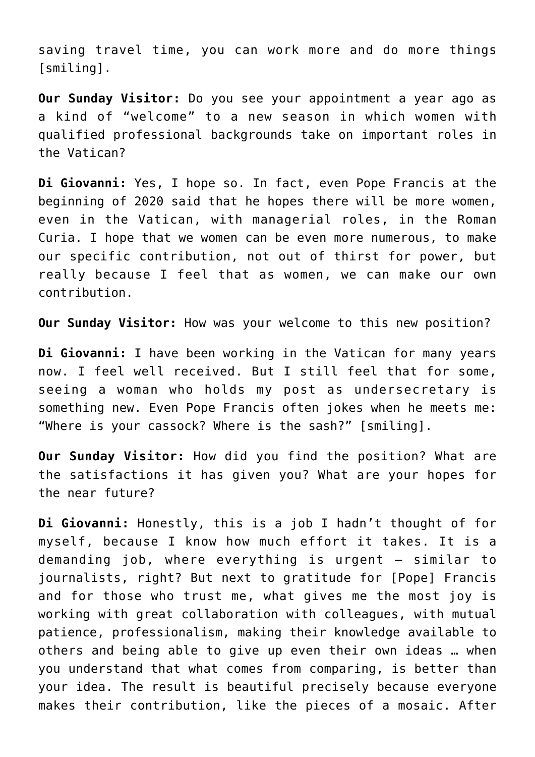saving travel time, you can work more and do more things [smiling].

**Our Sunday Visitor:** Do you see your appointment a year ago as a kind of "welcome" to a new season in which women with qualified professional backgrounds take on important roles in the Vatican?

**Di Giovanni:** Yes, I hope so. In fact, even Pope Francis at the beginning of 2020 said that he hopes there will be more women, even in the Vatican, with managerial roles, in the Roman Curia. I hope that we women can be even more numerous, to make our specific contribution, not out of thirst for power, but really because I feel that as women, we can make our own contribution.

**Our Sunday Visitor:** How was your welcome to this new position?

**Di Giovanni:** I have been working in the Vatican for many years now. I feel well received. But I still feel that for some, seeing a woman who holds my post as undersecretary is something new. Even Pope Francis often jokes when he meets me: "Where is your cassock? Where is the sash?" [smiling].

**Our Sunday Visitor:** How did you find the position? What are the satisfactions it has given you? What are your hopes for the near future?

**Di Giovanni:** Honestly, this is a job I hadn't thought of for myself, because I know how much effort it takes. It is a demanding job, where everything is urgent — similar to journalists, right? But next to gratitude for [Pope] Francis and for those who trust me, what gives me the most joy is working with great collaboration with colleagues, with mutual patience, professionalism, making their knowledge available to others and being able to give up even their own ideas … when you understand that what comes from comparing, is better than your idea. The result is beautiful precisely because everyone makes their contribution, like the pieces of a mosaic. After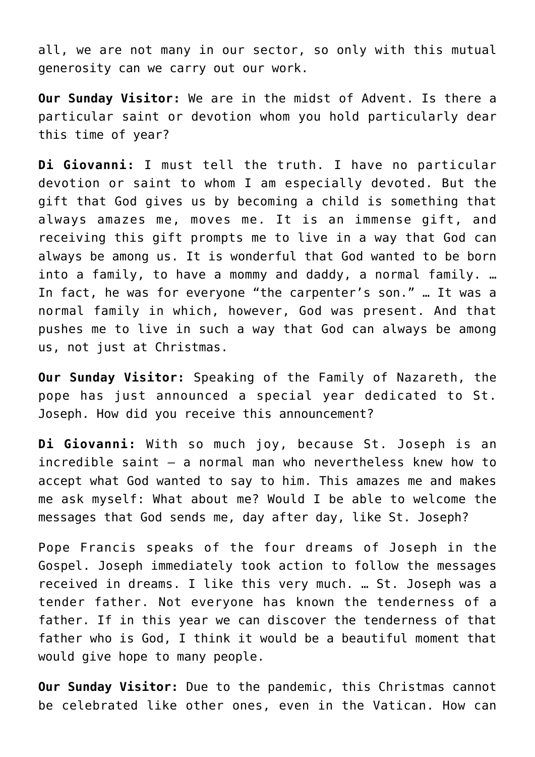all, we are not many in our sector, so only with this mutual generosity can we carry out our work.

**Our Sunday Visitor:** We are in the midst of Advent. Is there a particular saint or devotion whom you hold particularly dear this time of year?

**Di Giovanni:** I must tell the truth. I have no particular devotion or saint to whom I am especially devoted. But the gift that God gives us by becoming a child is something that always amazes me, moves me. It is an immense gift, and receiving this gift prompts me to live in a way that God can always be among us. It is wonderful that God wanted to be born into a family, to have a mommy and daddy, a normal family. … In fact, he was for everyone "the carpenter's son." … It was a normal family in which, however, God was present. And that pushes me to live in such a way that God can always be among us, not just at Christmas.

**Our Sunday Visitor:** Speaking of the Family of Nazareth, the pope has just announced a special year dedicated to St. Joseph. How did you receive this announcement?

**Di Giovanni:** With so much joy, because St. Joseph is an incredible saint — a normal man who nevertheless knew how to accept what God wanted to say to him. This amazes me and makes me ask myself: What about me? Would I be able to welcome the messages that God sends me, day after day, like St. Joseph?

Pope Francis speaks of the four dreams of Joseph in the Gospel. Joseph immediately took action to follow the messages received in dreams. I like this very much. … St. Joseph was a tender father. Not everyone has known the tenderness of a father. If in this year we can discover the tenderness of that father who is God, I think it would be a beautiful moment that would give hope to many people.

**Our Sunday Visitor:** Due to the pandemic, this Christmas cannot be celebrated like other ones, even in the Vatican. How can